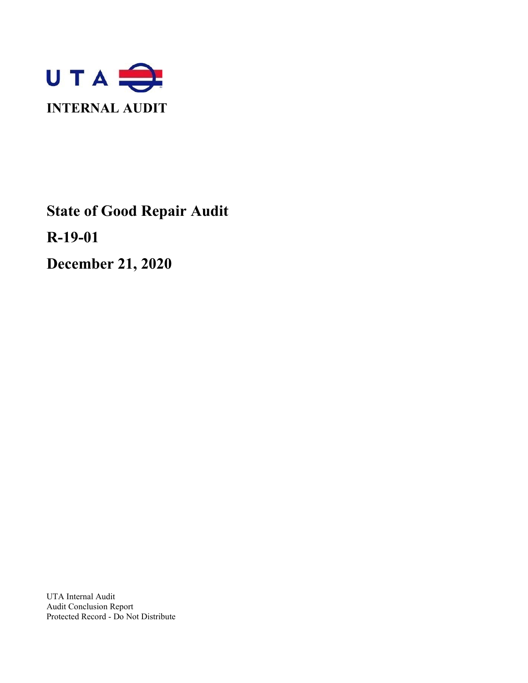

**State of Good Repair Audit**

**R-19-01**

**December 21, 2020**

UTA Internal Audit Audit Conclusion Report Protected Record - Do Not Distribute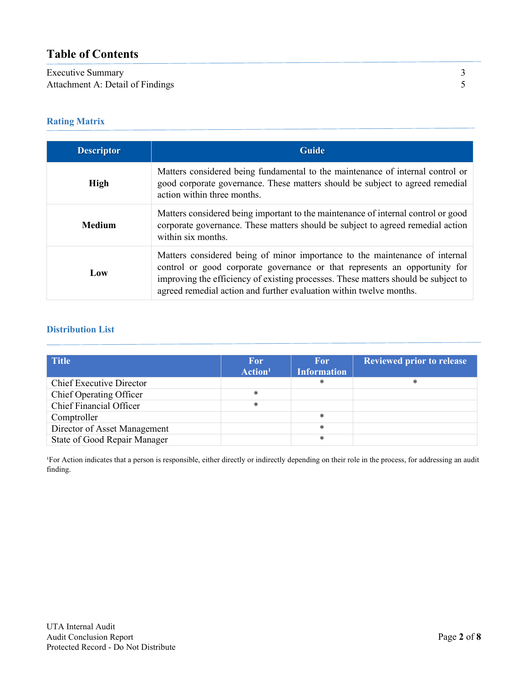# **Table of Contents**

# Executive Summary 3<br>Attachment A: Detail of Findings 5 Attachment A: Detail of Findings

# **Rating Matrix**

| <b>Descriptor</b> | <b>Guide</b>                                                                                                                                                                                                                                                                                                           |  |  |
|-------------------|------------------------------------------------------------------------------------------------------------------------------------------------------------------------------------------------------------------------------------------------------------------------------------------------------------------------|--|--|
| <b>High</b>       | Matters considered being fundamental to the maintenance of internal control or<br>good corporate governance. These matters should be subject to agreed remedial<br>action within three months.                                                                                                                         |  |  |
| <b>Medium</b>     | Matters considered being important to the maintenance of internal control or good<br>corporate governance. These matters should be subject to agreed remedial action<br>within six months.                                                                                                                             |  |  |
| Low               | Matters considered being of minor importance to the maintenance of internal<br>control or good corporate governance or that represents an opportunity for<br>improving the efficiency of existing processes. These matters should be subject to<br>agreed remedial action and further evaluation within twelve months. |  |  |

# **Distribution List**

| Title                           | <b>For</b><br>Action <sup>1</sup> | <b>For</b><br><b>Information</b> | <b>Reviewed prior to release</b> |
|---------------------------------|-----------------------------------|----------------------------------|----------------------------------|
| <b>Chief Executive Director</b> |                                   | *                                | $\ast$                           |
| <b>Chief Operating Officer</b>  | $\ast$                            |                                  |                                  |
| Chief Financial Officer         | $\ast$                            |                                  |                                  |
| Comptroller                     |                                   | *                                |                                  |
| Director of Asset Management    |                                   | $\ast$                           |                                  |
| State of Good Repair Manager    |                                   | *                                |                                  |

<sup>1</sup>For Action indicates that a person is responsible, either directly or indirectly depending on their role in the process, for addressing an audit finding.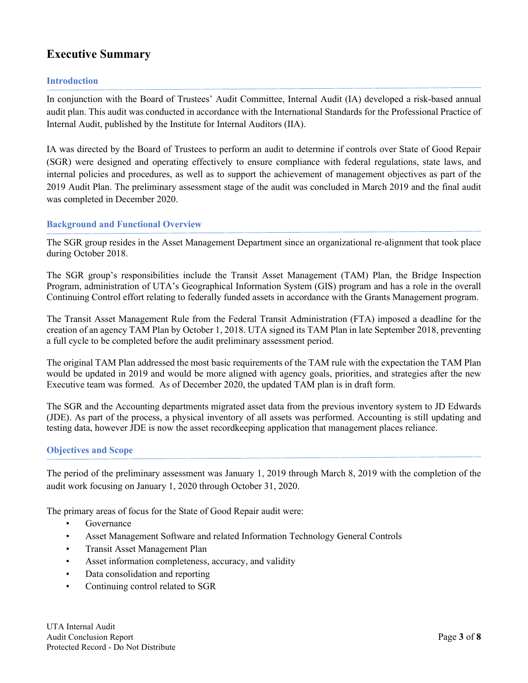# **Executive Summary**

## **Introduction**

In conjunction with the Board of Trustees' Audit Committee, Internal Audit (IA) developed a risk-based annual audit plan. This audit was conducted in accordance with the International Standards for the Professional Practice of Internal Audit, published by the Institute for Internal Auditors (IIA).

IA was directed by the Board of Trustees to perform an audit to determine if controls over State of Good Repair (SGR) were designed and operating effectively to ensure compliance with federal regulations, state laws, and internal policies and procedures, as well as to support the achievement of management objectives as part of the 2019 Audit Plan. The preliminary assessment stage of the audit was concluded in March 2019 and the final audit was completed in December 2020.

## **Background and Functional Overview**

The SGR group resides in the Asset Management Department since an organizational re-alignment that took place during October 2018.

The SGR group's responsibilities include the Transit Asset Management (TAM) Plan, the Bridge Inspection Program, administration of UTA's Geographical Information System (GIS) program and has a role in the overall Continuing Control effort relating to federally funded assets in accordance with the Grants Management program.

The Transit Asset Management Rule from the Federal Transit Administration (FTA) imposed a deadline for the creation of an agency TAM Plan by October 1, 2018. UTA signed its TAM Plan in late September 2018, preventing a full cycle to be completed before the audit preliminary assessment period.

The original TAM Plan addressed the most basic requirements of the TAM rule with the expectation the TAM Plan would be updated in 2019 and would be more aligned with agency goals, priorities, and strategies after the new Executive team was formed. As of December 2020, the updated TAM plan is in draft form.

The SGR and the Accounting departments migrated asset data from the previous inventory system to JD Edwards (JDE). As part of the process, a physical inventory of all assets was performed. Accounting is still updating and testing data, however JDE is now the asset recordkeeping application that management places reliance.

# **Objectives and Scope**

The period of the preliminary assessment was January 1, 2019 through March 8, 2019 with the completion of the audit work focusing on January 1, 2020 through October 31, 2020.

The primary areas of focus for the State of Good Repair audit were:

- Governance
- Asset Management Software and related Information Technology General Controls
- Transit Asset Management Plan
- Asset information completeness, accuracy, and validity
- Data consolidation and reporting
- Continuing control related to SGR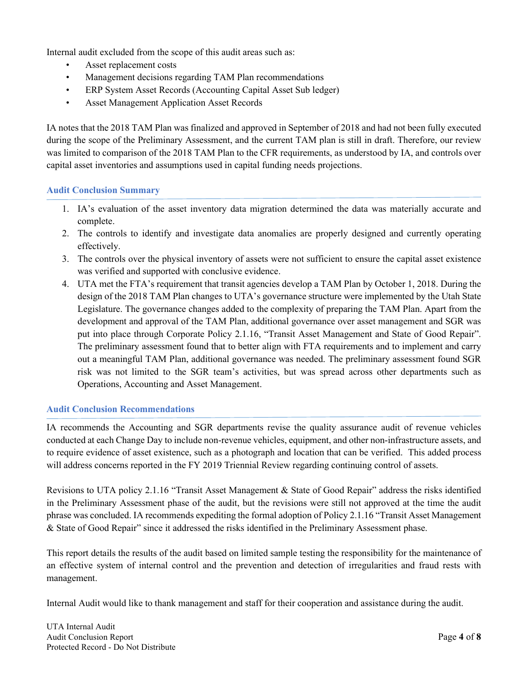Internal audit excluded from the scope of this audit areas such as:

- Asset replacement costs
- Management decisions regarding TAM Plan recommendations
- ERP System Asset Records (Accounting Capital Asset Sub ledger)
- Asset Management Application Asset Records

IA notes that the 2018 TAM Plan was finalized and approved in September of 2018 and had not been fully executed during the scope of the Preliminary Assessment, and the current TAM plan is still in draft. Therefore, our review was limited to comparison of the 2018 TAM Plan to the CFR requirements, as understood by IA, and controls over capital asset inventories and assumptions used in capital funding needs projections.

## **Audit Conclusion Summary**

- 1. IA's evaluation of the asset inventory data migration determined the data was materially accurate and complete.
- 2. The controls to identify and investigate data anomalies are properly designed and currently operating effectively.
- 3. The controls over the physical inventory of assets were not sufficient to ensure the capital asset existence was verified and supported with conclusive evidence.
- 4. UTA met the FTA's requirement that transit agencies develop a TAM Plan by October 1, 2018. During the design of the 2018 TAM Plan changes to UTA's governance structure were implemented by the Utah State Legislature. The governance changes added to the complexity of preparing the TAM Plan. Apart from the development and approval of the TAM Plan, additional governance over asset management and SGR was put into place through Corporate Policy 2.1.16, "Transit Asset Management and State of Good Repair". The preliminary assessment found that to better align with FTA requirements and to implement and carry out a meaningful TAM Plan, additional governance was needed. The preliminary assessment found SGR risk was not limited to the SGR team's activities, but was spread across other departments such as Operations, Accounting and Asset Management.

#### **Audit Conclusion Recommendations**

IA recommends the Accounting and SGR departments revise the quality assurance audit of revenue vehicles conducted at each Change Day to include non-revenue vehicles, equipment, and other non-infrastructure assets, and to require evidence of asset existence, such as a photograph and location that can be verified. This added process will address concerns reported in the FY 2019 Triennial Review regarding continuing control of assets.

Revisions to UTA policy 2.1.16 "Transit Asset Management & State of Good Repair" address the risks identified in the Preliminary Assessment phase of the audit, but the revisions were still not approved at the time the audit phrase was concluded. IA recommends expediting the formal adoption of Policy 2.1.16 "Transit Asset Management & State of Good Repair" since it addressed the risks identified in the Preliminary Assessment phase.

This report details the results of the audit based on limited sample testing the responsibility for the maintenance of an effective system of internal control and the prevention and detection of irregularities and fraud rests with management.

Internal Audit would like to thank management and staff for their cooperation and assistance during the audit.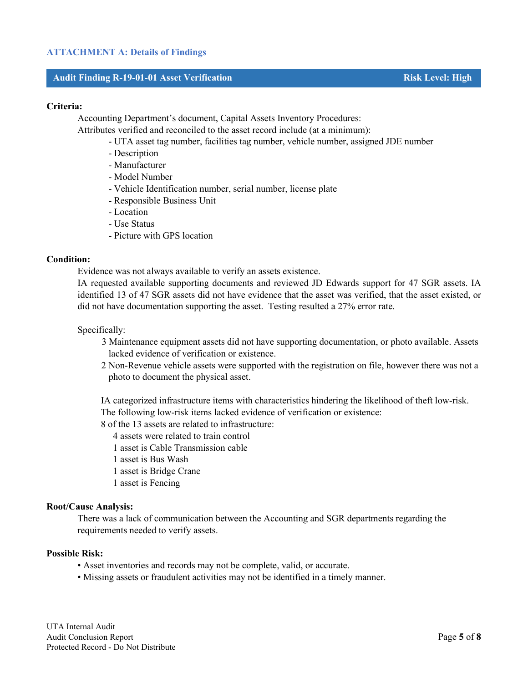#### **Audit Finding R-19-01-01 Asset Verification Risk Level: High**

#### **Criteria:**

Accounting Department's document, Capital Assets Inventory Procedures:

Attributes verified and reconciled to the asset record include (at a minimum):

- UTA asset tag number, facilities tag number, vehicle number, assigned JDE number
- Description
- Manufacturer
- Model Number
- Vehicle Identification number, serial number, license plate
- Responsible Business Unit
- Location
- Use Status
- Picture with GPS location

#### **Condition:**

Evidence was not always available to verify an assets existence.

IA requested available supporting documents and reviewed JD Edwards support for 47 SGR assets. IA identified 13 of 47 SGR assets did not have evidence that the asset was verified, that the asset existed, or did not have documentation supporting the asset. Testing resulted a 27% error rate.

#### Specifically:

- 3 Maintenance equipment assets did not have supporting documentation, or photo available. Assets lacked evidence of verification or existence.
- 2 Non-Revenue vehicle assets were supported with the registration on file, however there was not a photo to document the physical asset.

IA categorized infrastructure items with characteristics hindering the likelihood of theft low-risk. The following low-risk items lacked evidence of verification or existence:

8 of the 13 assets are related to infrastructure:

4 assets were related to train control

1 asset is Cable Transmission cable

1 asset is Bus Wash

- 1 asset is Bridge Crane
- 1 asset is Fencing

#### **Root/Cause Analysis:**

There was a lack of communication between the Accounting and SGR departments regarding the requirements needed to verify assets.

#### **Possible Risk:**

- Asset inventories and records may not be complete, valid, or accurate.
- Missing assets or fraudulent activities may not be identified in a timely manner.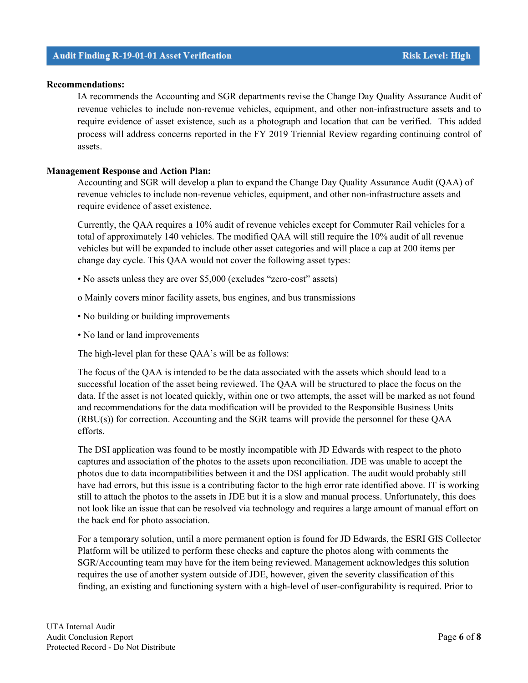IA recommends the Accounting and SGR departments revise the Change Day Quality Assurance Audit of revenue vehicles to include non-revenue vehicles, equipment, and other non-infrastructure assets and to require evidence of asset existence, such as a photograph and location that can be verified. This added process will address concerns reported in the FY 2019 Triennial Review regarding continuing control of assets.

## **Management Response and Action Plan:**

Accounting and SGR will develop a plan to expand the Change Day Quality Assurance Audit (QAA) of revenue vehicles to include non-revenue vehicles, equipment, and other non-infrastructure assets and require evidence of asset existence.

Currently, the QAA requires a 10% audit of revenue vehicles except for Commuter Rail vehicles for a total of approximately 140 vehicles. The modified QAA will still require the 10% audit of all revenue vehicles but will be expanded to include other asset categories and will place a cap at 200 items per change day cycle. This QAA would not cover the following asset types:

- No assets unless they are over \$5,000 (excludes "zero-cost" assets)
- o Mainly covers minor facility assets, bus engines, and bus transmissions
- No building or building improvements
- No land or land improvements

The high-level plan for these QAA's will be as follows:

The focus of the QAA is intended to be the data associated with the assets which should lead to a successful location of the asset being reviewed. The QAA will be structured to place the focus on the data. If the asset is not located quickly, within one or two attempts, the asset will be marked as not found and recommendations for the data modification will be provided to the Responsible Business Units (RBU(s)) for correction. Accounting and the SGR teams will provide the personnel for these QAA efforts.

The DSI application was found to be mostly incompatible with JD Edwards with respect to the photo captures and association of the photos to the assets upon reconciliation. JDE was unable to accept the photos due to data incompatibilities between it and the DSI application. The audit would probably still have had errors, but this issue is a contributing factor to the high error rate identified above. IT is working still to attach the photos to the assets in JDE but it is a slow and manual process. Unfortunately, this does not look like an issue that can be resolved via technology and requires a large amount of manual effort on the back end for photo association.

For a temporary solution, until a more permanent option is found for JD Edwards, the ESRI GIS Collector Platform will be utilized to perform these checks and capture the photos along with comments the SGR/Accounting team may have for the item being reviewed. Management acknowledges this solution requires the use of another system outside of JDE, however, given the severity classification of this finding, an existing and functioning system with a high-level of user-configurability is required. Prior to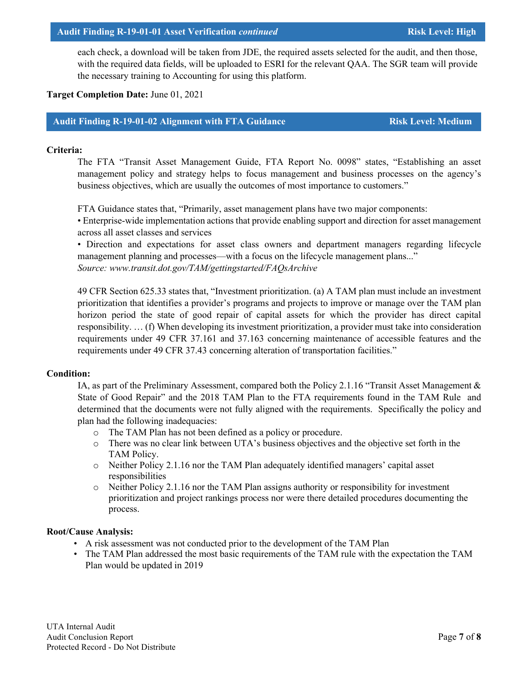#### UTA Internal Audit Audit Conclusion Report **Page 7** of **8** Protected Record - Do Not Distribute

each check, a download will be taken from JDE, the required assets selected for the audit, and then those, with the required data fields, will be uploaded to ESRI for the relevant QAA. The SGR team will provide the necessary training to Accounting for using this platform.

# **Target Completion Date:** June 01, 2021

## **Audit Finding R-19-01-02 Alignment with FTA Guidance Risk Level: Medium**

## **Criteria:**

The FTA "Transit Asset Management Guide, FTA Report No. 0098" states, "Establishing an asset management policy and strategy helps to focus management and business processes on the agency's business objectives, which are usually the outcomes of most importance to customers."

FTA Guidance states that, "Primarily, asset management plans have two major components:

• Enterprise-wide implementation actions that provide enabling support and direction for asset management across all asset classes and services

• Direction and expectations for asset class owners and department managers regarding lifecycle management planning and processes—with a focus on the lifecycle management plans..." *Source: www.transit.dot.gov/TAM/gettingstarted/FAQsArchive*

49 CFR Section 625.33 states that, "Investment prioritization. (a) A TAM plan must include an investment prioritization that identifies a provider's programs and projects to improve or manage over the TAM plan horizon period the state of good repair of capital assets for which the provider has direct capital responsibility. … (f) When developing its investment prioritization, a provider must take into consideration requirements under 49 CFR 37.161 and 37.163 concerning maintenance of accessible features and the requirements under 49 CFR 37.43 concerning alteration of transportation facilities."

## **Condition:**

IA, as part of the Preliminary Assessment, compared both the Policy 2.1.16 "Transit Asset Management & State of Good Repair" and the 2018 TAM Plan to the FTA requirements found in the TAM Rule and determined that the documents were not fully aligned with the requirements. Specifically the policy and plan had the following inadequacies:

- o The TAM Plan has not been defined as a policy or procedure.
- o There was no clear link between UTA's business objectives and the objective set forth in the TAM Policy.
- o Neither Policy 2.1.16 nor the TAM Plan adequately identified managers' capital asset responsibilities
- $\circ$  Neither Policy 2.1.16 nor the TAM Plan assigns authority or responsibility for investment prioritization and project rankings process nor were there detailed procedures documenting the process.

# **Root/Cause Analysis:**

- A risk assessment was not conducted prior to the development of the TAM Plan
- The TAM Plan addressed the most basic requirements of the TAM rule with the expectation the TAM Plan would be updated in 2019